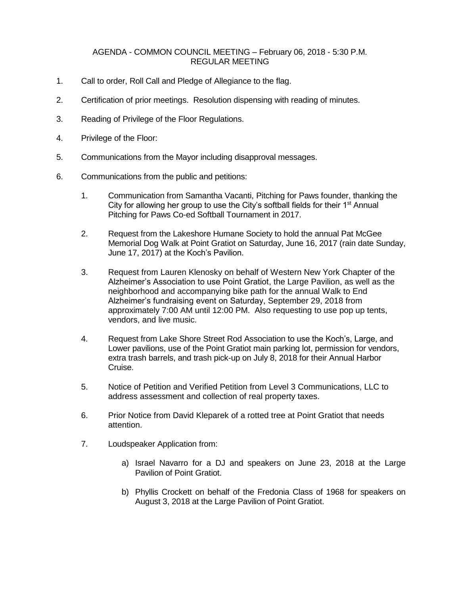## AGENDA - COMMON COUNCIL MEETING – February 06, 2018 - 5:30 P.M. REGULAR MEETING

- 1. Call to order, Roll Call and Pledge of Allegiance to the flag.
- 2. Certification of prior meetings. Resolution dispensing with reading of minutes.
- 3. Reading of Privilege of the Floor Regulations.
- 4. Privilege of the Floor:
- 5. Communications from the Mayor including disapproval messages.
- 6. Communications from the public and petitions:
	- 1. Communication from Samantha Vacanti, Pitching for Paws founder, thanking the City for allowing her group to use the City's softball fields for their  $1<sup>st</sup>$  Annual Pitching for Paws Co-ed Softball Tournament in 2017.
	- 2. Request from the Lakeshore Humane Society to hold the annual Pat McGee Memorial Dog Walk at Point Gratiot on Saturday, June 16, 2017 (rain date Sunday, June 17, 2017) at the Koch's Pavilion.
	- 3. Request from Lauren Klenosky on behalf of Western New York Chapter of the Alzheimer's Association to use Point Gratiot, the Large Pavilion, as well as the neighborhood and accompanying bike path for the annual Walk to End Alzheimer's fundraising event on Saturday, September 29, 2018 from approximately 7:00 AM until 12:00 PM. Also requesting to use pop up tents, vendors, and live music.
	- 4. Request from Lake Shore Street Rod Association to use the Koch's, Large, and Lower pavilions, use of the Point Gratiot main parking lot, permission for vendors, extra trash barrels, and trash pick-up on July 8, 2018 for their Annual Harbor Cruise.
	- 5. Notice of Petition and Verified Petition from Level 3 Communications, LLC to address assessment and collection of real property taxes.
	- 6. Prior Notice from David Kleparek of a rotted tree at Point Gratiot that needs attention.
	- 7. Loudspeaker Application from:
		- a) Israel Navarro for a DJ and speakers on June 23, 2018 at the Large Pavilion of Point Gratiot.
		- b) Phyllis Crockett on behalf of the Fredonia Class of 1968 for speakers on August 3, 2018 at the Large Pavilion of Point Gratiot.